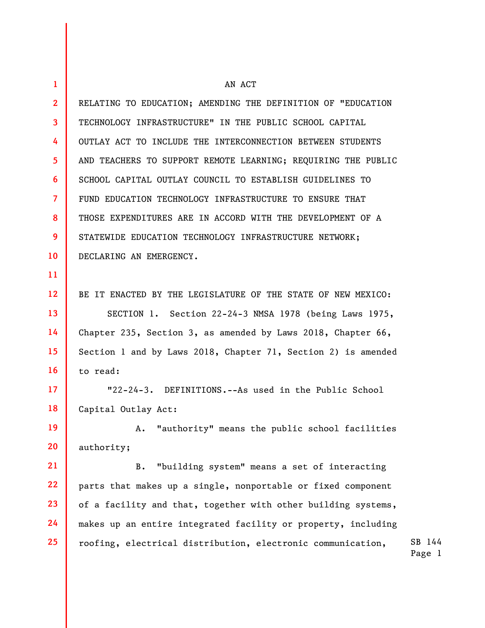1 2 3 4 5 6 7 8 9 10 11 12 13 14 15 16 17 18 19 20 21 22 23 24 25 AN ACT RELATING TO EDUCATION; AMENDING THE DEFINITION OF "EDUCATION TECHNOLOGY INFRASTRUCTURE" IN THE PUBLIC SCHOOL CAPITAL OUTLAY ACT TO INCLUDE THE INTERCONNECTION BETWEEN STUDENTS AND TEACHERS TO SUPPORT REMOTE LEARNING; REQUIRING THE PUBLIC SCHOOL CAPITAL OUTLAY COUNCIL TO ESTABLISH GUIDELINES TO FUND EDUCATION TECHNOLOGY INFRASTRUCTURE TO ENSURE THAT THOSE EXPENDITURES ARE IN ACCORD WITH THE DEVELOPMENT OF A STATEWIDE EDUCATION TECHNOLOGY INFRASTRUCTURE NETWORK; DECLARING AN EMERGENCY. BE IT ENACTED BY THE LEGISLATURE OF THE STATE OF NEW MEXICO: SECTION 1. Section 22-24-3 NMSA 1978 (being Laws 1975, Chapter 235, Section 3, as amended by Laws 2018, Chapter 66, Section 1 and by Laws 2018, Chapter 71, Section 2) is amended to read: "22-24-3. DEFINITIONS.--As used in the Public School Capital Outlay Act: A. "authority" means the public school facilities authority; B. "building system" means a set of interacting parts that makes up a single, nonportable or fixed component of a facility and that, together with other building systems, makes up an entire integrated facility or property, including roofing, electrical distribution, electronic communication,

SB 144 Page 1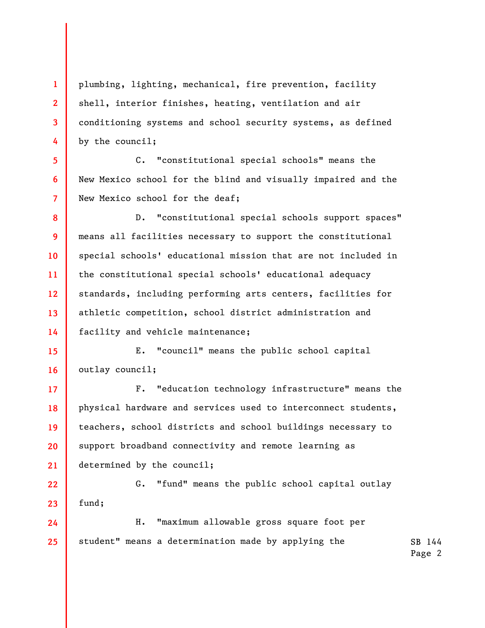4 plumbing, lighting, mechanical, fire prevention, facility shell, interior finishes, heating, ventilation and air conditioning systems and school security systems, as defined by the council;

1

2

3

5

6

7

8

9

10

11

12

13

14

17

18

19

20

21

C. "constitutional special schools" means the New Mexico school for the blind and visually impaired and the New Mexico school for the deaf;

D. "constitutional special schools support spaces" means all facilities necessary to support the constitutional special schools' educational mission that are not included in the constitutional special schools' educational adequacy standards, including performing arts centers, facilities for athletic competition, school district administration and facility and vehicle maintenance;

15 16 E. "council" means the public school capital outlay council;

F. "education technology infrastructure" means the physical hardware and services used to interconnect students, teachers, school districts and school buildings necessary to support broadband connectivity and remote learning as determined by the council;

22 23 G. "fund" means the public school capital outlay fund;

SB 144 24 25 H. "maximum allowable gross square foot per student" means a determination made by applying the

Page 2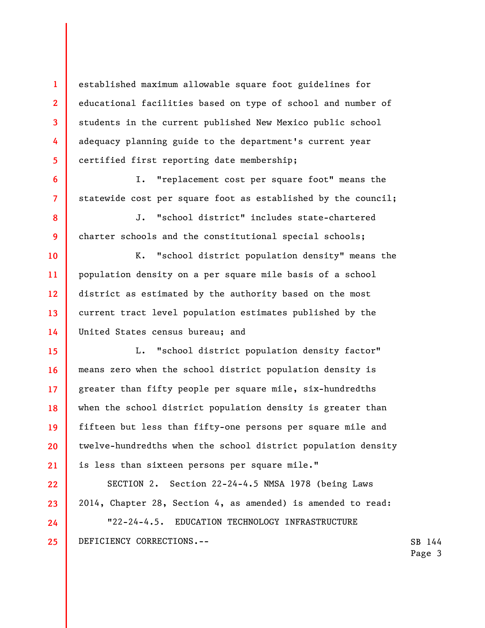established maximum allowable square foot guidelines for educational facilities based on type of school and number of students in the current published New Mexico public school adequacy planning guide to the department's current year certified first reporting date membership;

1

2

3

4

5

6

7

8

9

10

11

12

13

14

22

23

24

25

I. "replacement cost per square foot" means the statewide cost per square foot as established by the council;

J. "school district" includes state-chartered charter schools and the constitutional special schools;

K. "school district population density" means the population density on a per square mile basis of a school district as estimated by the authority based on the most current tract level population estimates published by the United States census bureau; and

15 16 17 18 19 20 21 L. "school district population density factor" means zero when the school district population density is greater than fifty people per square mile, six-hundredths when the school district population density is greater than fifteen but less than fifty-one persons per square mile and twelve-hundredths when the school district population density is less than sixteen persons per square mile."

SECTION 2. Section 22-24-4.5 NMSA 1978 (being Laws 2014, Chapter 28, Section 4, as amended) is amended to read:

"22-24-4.5. EDUCATION TECHNOLOGY INFRASTRUCTURE DEFICIENCY CORRECTIONS.--

SB 144 Page 3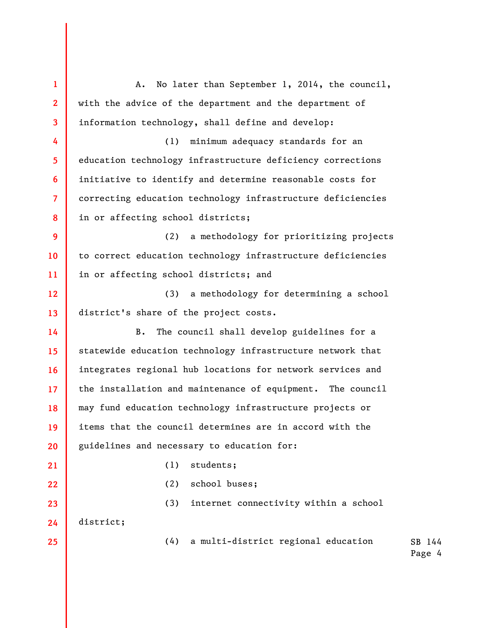SB 144 Page 4 1 2 3 4 5 6 7 8 9 10 11 12 13 14 15 16 17 18 19 20 21 22 23 24 25 A. No later than September 1, 2014, the council, with the advice of the department and the department of information technology, shall define and develop: (1) minimum adequacy standards for an education technology infrastructure deficiency corrections initiative to identify and determine reasonable costs for correcting education technology infrastructure deficiencies in or affecting school districts; (2) a methodology for prioritizing projects to correct education technology infrastructure deficiencies in or affecting school districts; and (3) a methodology for determining a school district's share of the project costs. B. The council shall develop guidelines for a statewide education technology infrastructure network that integrates regional hub locations for network services and the installation and maintenance of equipment. The council may fund education technology infrastructure projects or items that the council determines are in accord with the guidelines and necessary to education for: (1) students; (2) school buses; (3) internet connectivity within a school district; (4) a multi-district regional education